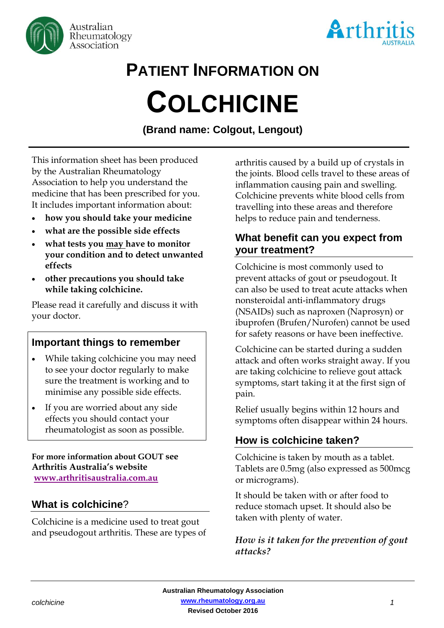



# **PATIENT INFORMATION ON COLCHICINE**

**(Brand name: Colgout, Lengout)**

This information sheet has been produced by the Australian Rheumatology Association to help you understand the medicine that has been prescribed for you. It includes important information about:

- **how you should take your medicine**
- **what are the possible side effects**
- **what tests you may have to monitor your condition and to detect unwanted effects**
- **other precautions you should take while taking colchicine.**

Please read it carefully and discuss it with your doctor.

# **Important things to remember**

- While taking colchicine you may need to see your doctor regularly to make sure the treatment is working and to minimise any possible side effects.
- If you are worried about any side effects you should contact your rheumatologist as soon as possible.

**For more information about GOUT see Arthritis Australia's website [www.arthritisaustralia.com.au](http://www.arthritisaustralia.com.au/index.php/arthritis-information/information-sheets.html)**

# **What is colchicine**?

Colchicine is a medicine used to treat gout and pseudogout arthritis. These are types of arthritis caused by a build up of crystals in the joints. Blood cells travel to these areas of inflammation causing pain and swelling. Colchicine prevents white blood cells from travelling into these areas and therefore helps to reduce pain and tenderness.

# **What benefit can you expect from your treatment?**

Colchicine is most commonly used to prevent attacks of gout or pseudogout. It can also be used to treat acute attacks when nonsteroidal anti-inflammatory drugs (NSAIDs) such as naproxen (Naprosyn) or ibuprofen (Brufen/Nurofen) cannot be used for safety reasons or have been ineffective.

Colchicine can be started during a sudden attack and often works straight away. If you are taking colchicine to relieve gout attack symptoms, start taking it at the first sign of pain.

Relief usually begins within 12 hours and symptoms often disappear within 24 hours.

# **How is colchicine taken?**

Colchicine is taken by mouth as a tablet. Tablets are 0.5mg (also expressed as 500mcg or micrograms).

It should be taken with or after food to reduce stomach upset. It should also be taken with plenty of water.

### *How is it taken for the prevention of gout attacks?*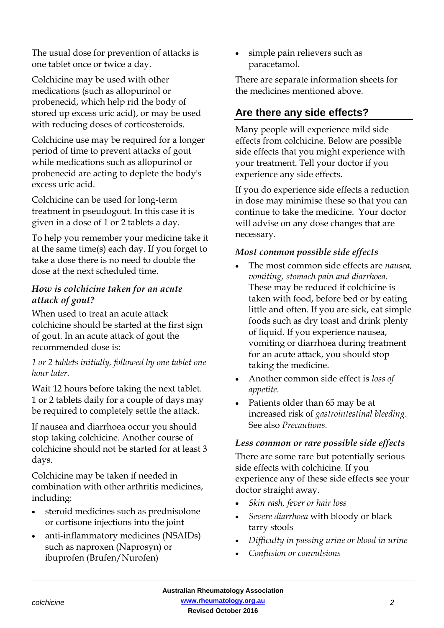The usual dose for prevention of attacks is one tablet once or twice a day.

Colchicine may be used with other medications (such as allopurinol or probenecid, which help rid the body of stored up excess uric acid), or may be used with reducing doses of corticosteroids.

Colchicine use may be required for a longer period of time to prevent attacks of gout while medications such as allopurinol or probenecid are acting to deplete the body's excess uric acid.

Colchicine can be used for long-term treatment in pseudogout. In this case it is given in a dose of 1 or 2 tablets a day.

To help you remember your medicine take it at the same time(s) each day. If you forget to take a dose there is no need to double the dose at the next scheduled time.

### *How is colchicine taken for an acute attack of gout?*

When used to treat an acute attack colchicine should be started at the first sign of gout. In an acute attack of gout the recommended dose is:

#### *1 or 2 tablets initially, followed by one tablet one hour later.*

Wait 12 hours before taking the next tablet. 1 or 2 tablets daily for a couple of days may be required to completely settle the attack.

If nausea and diarrhoea occur you should stop taking colchicine. Another course of colchicine should not be started for at least 3 days.

Colchicine may be taken if needed in combination with other arthritis medicines, including:

- steroid medicines such as prednisolone or cortisone injections into the joint
- anti-inflammatory medicines (NSAIDs) such as naproxen (Naprosyn) or ibuprofen (Brufen/Nurofen)

 simple pain relievers such as paracetamol.

There are separate information sheets for the medicines mentioned above.

# **Are there any side effects?**

Many people will experience mild side effects from colchicine. Below are possible side effects that you might experience with your treatment. Tell your doctor if you experience any side effects.

If you do experience side effects a reduction in dose may minimise these so that you can continue to take the medicine. Your doctor will advise on any dose changes that are necessary.

### *Most common possible side effects*

- The most common side effects are *nausea, vomiting, stomach pain and diarrhoea.* These may be reduced if colchicine is taken with food, before bed or by eating little and often. If you are sick, eat simple foods such as dry toast and drink plenty of liquid. If you experience nausea, vomiting or diarrhoea during treatment for an acute attack, you should stop taking the medicine.
- Another common side effect is *loss of appetite.*
- Patients older than 65 may be at increased risk of *gastrointestinal bleeding*. See also *Precautions.*

#### *Less common or rare possible side effects*

There are some rare but potentially serious side effects with colchicine. If you experience any of these side effects see your doctor straight away.

- *Skin rash, fever or hair loss*
- *Severe diarrhoea* with bloody or black tarry stools
- *Difficulty in passing urine or blood in urine*
- *Confusion or convulsions*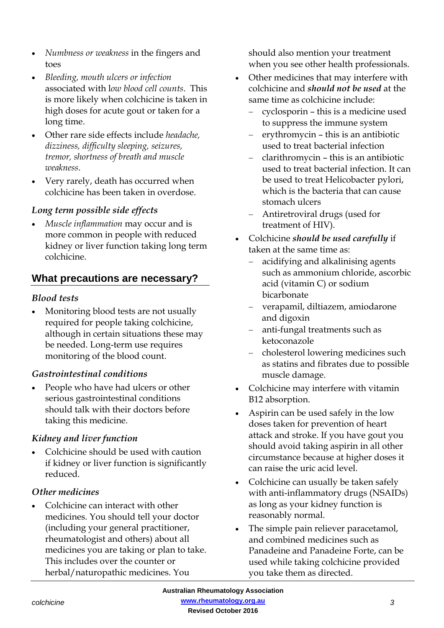- *Numbness or weakness* in the fingers and toes
- *Bleeding, mouth ulcers or infection*  associated with l*ow blood cell counts*. This is more likely when colchicine is taken in high doses for acute gout or taken for a long time.
- Other rare side effects include *headache, dizziness, difficulty sleeping, seizures, tremor, shortness of breath and muscle weakness*.
- Very rarely, death has occurred when colchicine has been taken in overdose.

#### *Long term possible side effects*

 *Muscle inflammation* may occur and is more common in people with reduced kidney or liver function taking long term colchicine.

# **What precautions are necessary?**

#### *Blood tests*

 Monitoring blood tests are not usually required for people taking colchicine, although in certain situations these may be needed. Long-term use requires monitoring of the blood count.

#### *Gastrointestinal conditions*

• People who have had ulcers or other serious gastrointestinal conditions should talk with their doctors before taking this medicine.

#### *Kidney and liver function*

 Colchicine should be used with caution if kidney or liver function is significantly reduced.

#### *Other medicines*

 Colchicine can interact with other medicines. You should tell your doctor (including your general practitioner, rheumatologist and others) about all medicines you are taking or plan to take. This includes over the counter or herbal/naturopathic medicines. You

should also mention your treatment when you see other health professionals.

- Other medicines that may interfere with colchicine and *should not be used* at the same time as colchicine include:
	- cyclosporin this is a medicine used to suppress the immune system
	- erythromycin this is an antibiotic used to treat bacterial infection
	- clarithromycin this is an antibiotic used to treat bacterial infection. It can be used to treat Helicobacter pylori, which is the bacteria that can cause stomach ulcers
	- Antiretroviral drugs (used for treatment of HIV).
- Colchicine *should be used carefully* if taken at the same time as:
	- acidifying and alkalinising agents such as ammonium chloride, ascorbic acid (vitamin C) or sodium bicarbonate
	- verapamil, diltiazem, amiodarone and digoxin
	- anti-fungal treatments such as ketoconazole
	- cholesterol lowering medicines such as statins and fibrates due to possible muscle damage.
- Colchicine may interfere with vitamin B12 absorption.
- Aspirin can be used safely in the low doses taken for prevention of heart attack and stroke. If you have gout you should avoid taking aspirin in all other circumstance because at higher doses it can raise the uric acid level.
- Colchicine can usually be taken safely with anti-inflammatory drugs (NSAIDs) as long as your kidney function is reasonably normal.
- The simple pain reliever paracetamol, and combined medicines such as Panadeine and Panadeine Forte, can be used while taking colchicine provided you take them as directed.